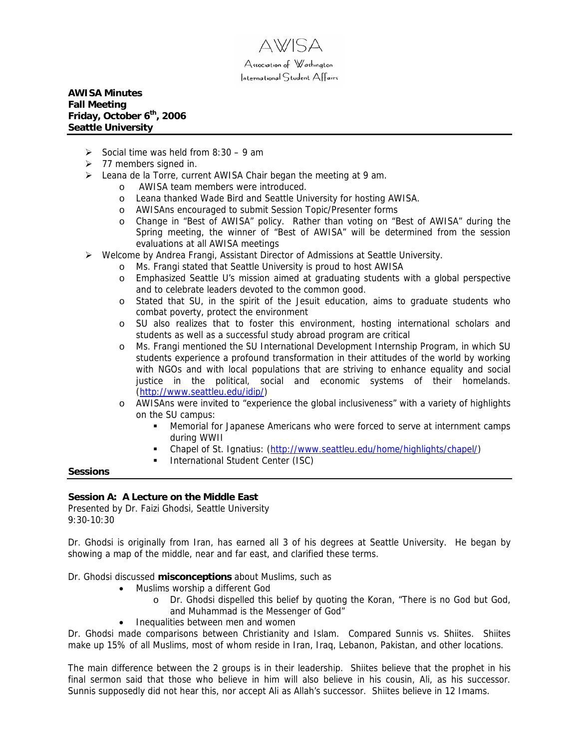

# **AWISA Minutes Fall Meeting Friday, October 6th, 2006 Seattle University**

- $\geq$  Social time was held from 8:30 9 am
- $\geq 77$  members signed in.
- $\triangleright$  Leana de la Torre, current AWISA Chair began the meeting at 9 am.
	- o AWISA team members were introduced.
	- o Leana thanked Wade Bird and Seattle University for hosting AWISA.
	- o AWISAns encouraged to submit Session Topic/Presenter forms
	- o Change in "Best of AWISA" policy. Rather than voting on "Best of AWISA" during the Spring meeting, the winner of "Best of AWISA" will be determined from the session evaluations at all AWISA meetings
- ¾ Welcome by [Andrea Frangi,](http://community.seattleu.edu/blogs/frangi/default.aspx) Assistant Director of Admissions at Seattle University.
	- o Ms. Frangi stated that Seattle University is proud to host AWISA
	- o Emphasized Seattle U's mission aimed at graduating students with a global perspective and to celebrate leaders devoted to the common good.
	- o Stated that SU, in the spirit of the Jesuit education, aims to graduate students who combat poverty, protect the environment
	- o SU also realizes that to foster this environment, hosting international scholars and students as well as a successful study abroad program are critical
	- o Ms. Frangi mentioned the SU International Development Internship Program, in which SU students experience a profound transformation in their attitudes of the world by working with NGOs and with local populations that are striving to enhance equality and social justice in the political, social and economic systems of their homelands. ([http://www.seattleu.edu/idip/\)](http://www.seattleu.edu/idip/)
	- o AWISAns were invited to "experience the global inclusiveness" with a variety of highlights on the SU campus:
		- Memorial for Japanese Americans who were forced to serve at internment camps during WWII
		- Chapel of St. Ignatius: [\(http://www.seattleu.edu/home/highlights/chapel/](http://www.seattleu.edu/home/highlights/chapel/))
		- **International Student Center (ISC)**

### **Sessions**

### **Session A: A Lecture on the Middle East**

Presented by Dr. Faizi Ghodsi, Seattle University 9:30-10:30

Dr. Ghodsi is originally from Iran, has earned all 3 of his degrees at Seattle University. He began by showing a map of the middle, near and far east, and clarified these terms.

Dr. Ghodsi discussed **misconceptions** about Muslims, such as

- Muslims worship a different God
	- o Dr. Ghodsi dispelled this belief by quoting the Koran, "There is no God but God, and Muhammad is the Messenger of God"
- Inequalities between men and women

Dr. Ghodsi made comparisons between Christianity and Islam. Compared Sunnis vs. Shiites. Shiites make up 15% of all Muslims, most of whom reside in Iran, Iraq, Lebanon, Pakistan, and other locations.

The main difference between the 2 groups is in their leadership. Shiites believe that the prophet in his final sermon said that those who believe in him will also believe in his cousin, Ali, as his successor. Sunnis supposedly did not hear this, nor accept Ali as Allah's successor. Shiites believe in 12 Imams.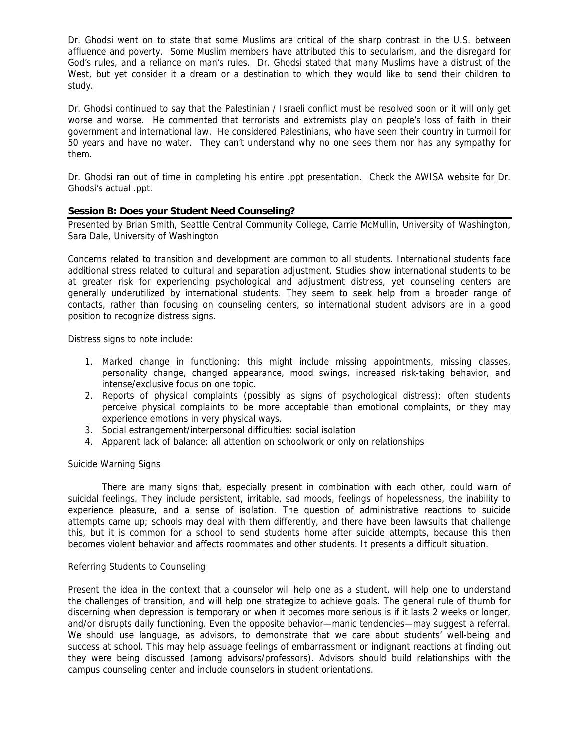Dr. Ghodsi went on to state that some Muslims are critical of the sharp contrast in the U.S. between affluence and poverty. Some Muslim members have attributed this to secularism, and the disregard for God's rules, and a reliance on man's rules. Dr. Ghodsi stated that many Muslims have a distrust of the West, but yet consider it a dream or a destination to which they would like to send their children to study.

Dr. Ghodsi continued to say that the Palestinian / Israeli conflict must be resolved soon or it will only get worse and worse. He commented that terrorists and extremists play on people's loss of faith in their government and international law. He considered Palestinians, who have seen their country in turmoil for 50 years and have no water. They can't understand why no one sees them nor has any sympathy for them.

Dr. Ghodsi ran out of time in completing his entire .ppt presentation. Check the AWISA website for Dr. Ghodsi's actual .ppt.

## **Session B: Does your Student Need Counseling?**

Presented by Brian Smith, Seattle Central Community College, Carrie McMullin, University of Washington, Sara Dale, University of Washington

Concerns related to transition and development are common to all students. International students face additional stress related to cultural and separation adjustment. Studies show international students to be at greater risk for experiencing psychological and adjustment distress, yet counseling centers are generally underutilized by international students. They seem to seek help from a broader range of contacts, rather than focusing on counseling centers, so international student advisors are in a good position to recognize distress signs.

Distress signs to note include:

- 1. Marked change in functioning: this might include missing appointments, missing classes, personality change, changed appearance, mood swings, increased risk-taking behavior, and intense/exclusive focus on one topic.
- 2. Reports of physical complaints (possibly as signs of psychological distress): often students perceive physical complaints to be more acceptable than emotional complaints, or they may experience emotions in very physical ways.
- 3. Social estrangement/interpersonal difficulties: social isolation
- 4. Apparent lack of balance: all attention on schoolwork or only on relationships

### Suicide Warning Signs

 There are many signs that, especially present in combination with each other, could warn of suicidal feelings. They include persistent, irritable, sad moods, feelings of hopelessness, the inability to experience pleasure, and a sense of isolation. The question of administrative reactions to suicide attempts came up; schools may deal with them differently, and there have been lawsuits that challenge this, but it is common for a school to send students home after suicide attempts, because this then becomes violent behavior and affects roommates and other students. It presents a difficult situation.

## Referring Students to Counseling

Present the idea in the context that a counselor will help one as a student, will help one to understand the challenges of transition, and will help one strategize to achieve goals. The general rule of thumb for discerning when depression is temporary or when it becomes more serious is if it lasts 2 weeks or longer, and/or disrupts daily functioning. Even the opposite behavior—manic tendencies—may suggest a referral. We should use language, as advisors, to demonstrate that we care about students' well-being and success at school. This may help assuage feelings of embarrassment or indignant reactions at finding out they were being discussed (among advisors/professors). Advisors should build relationships with the campus counseling center and include counselors in student orientations.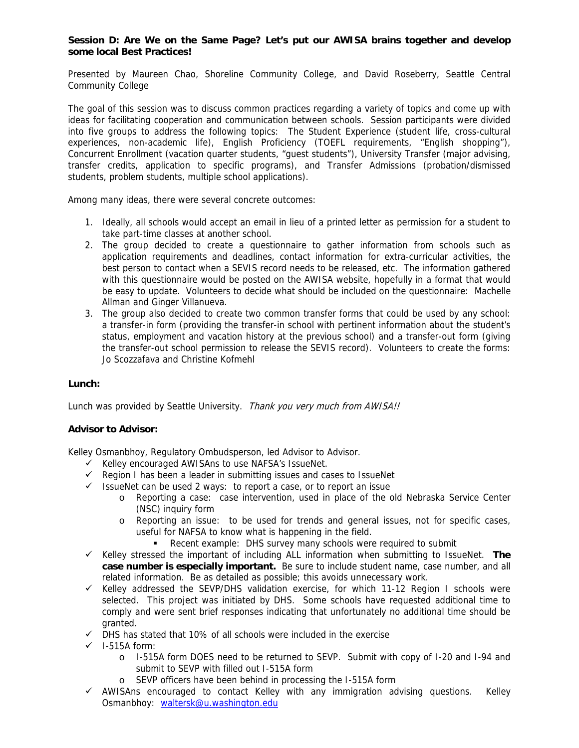## **Session D: Are We on the Same Page? Let's put our AWISA brains together and develop some local Best Practices!**

Presented by Maureen Chao, Shoreline Community College, and David Roseberry, Seattle Central Community College

The goal of this session was to discuss common practices regarding a variety of topics and come up with ideas for facilitating cooperation and communication between schools. Session participants were divided into five groups to address the following topics: The Student Experience (student life, cross-cultural experiences, non-academic life), English Proficiency (TOEFL requirements, "English shopping"), Concurrent Enrollment (vacation quarter students, "guest students"), University Transfer (major advising, transfer credits, application to specific programs), and Transfer Admissions (probation/dismissed students, problem students, multiple school applications).

Among many ideas, there were several concrete outcomes:

- 1. Ideally, all schools would accept an email in lieu of a printed letter as permission for a student to take part-time classes at another school.
- 2. The group decided to create a questionnaire to gather information from schools such as application requirements and deadlines, contact information for extra-curricular activities, the best person to contact when a SEVIS record needs to be released, etc. The information gathered with this questionnaire would be posted on the AWISA website, hopefully in a format that would be easy to update. Volunteers to decide what should be included on the questionnaire: Machelle Allman and Ginger Villanueva.
- 3. The group also decided to create two common transfer forms that could be used by any school: a transfer-in form (providing the transfer-in school with pertinent information about the student's status, employment and vacation history at the previous school) and a transfer-out form (giving the transfer-out school permission to release the SEVIS record). Volunteers to create the forms: Jo Scozzafava and Christine Kofmehl

# **Lunch:**

Lunch was provided by Seattle University. Thank you very much from AWISA!!

# **Advisor to Advisor:**

Kelley Osmanbhoy, Regulatory Ombudsperson, led Advisor to Advisor.

- $\checkmark$  Kelley encouraged AWISAns to use NAFSA's IssueNet.
- $\checkmark$  Region I has been a leader in submitting issues and cases to IssueNet
- $\checkmark$  IssueNet can be used 2 ways: to report a case, or to report an issue
	- o Reporting a case: case intervention, used in place of the old Nebraska Service Center (NSC) inquiry form
	- o Reporting an issue: to be used for trends and general issues, not for specific cases, useful for NAFSA to know what is happening in the field.
		- Recent example: DHS survey many schools were required to submit
- $\checkmark$  Kelley stressed the important of including ALL information when submitting to IssueNet. **The case number is especially important.** Be sure to include student name, case number, and all related information. Be as detailed as possible; this avoids unnecessary work.
- $\checkmark$  Kelley addressed the SEVP/DHS validation exercise, for which 11-12 Region I schools were selected. This project was initiated by DHS. Some schools have requested additional time to comply and were sent brief responses indicating that unfortunately no additional time should be granted.
- $\checkmark$  DHS has stated that 10% of all schools were included in the exercise
- $\checkmark$  I-515A form:
	- o I-515A form DOES need to be returned to SEVP. Submit with copy of I-20 and I-94 and submit to SEVP with filled out I-515A form
	- o SEVP officers have been behind in processing the I-515A form
- $\checkmark$  AWISAns encouraged to contact Kelley with any immigration advising questions. Kelley Osmanbhoy: [waltersk@u.washington.edu](mailto:waltersk@u.washington.edu)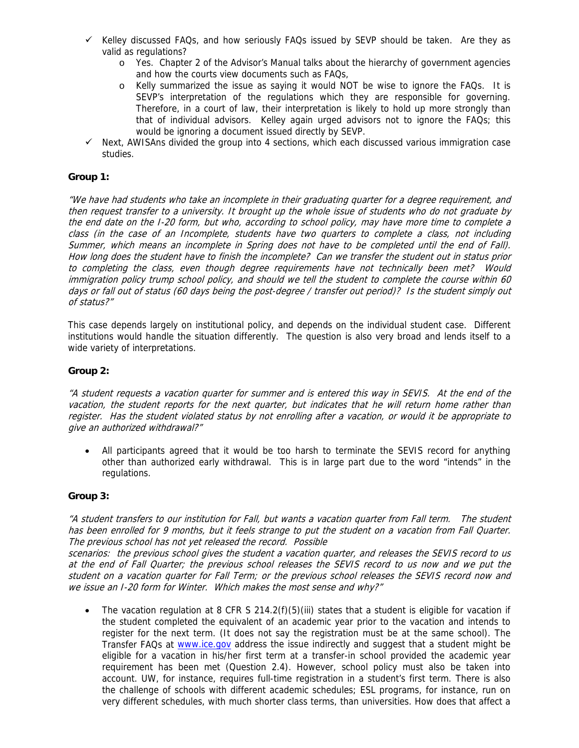- $\checkmark$  Kelley discussed FAQs, and how seriously FAQs issued by SEVP should be taken. Are they as valid as regulations?
	- o Yes. Chapter 2 of the Advisor's Manual talks about the hierarchy of government agencies and how the courts view documents such as FAQs,
	- o Kelly summarized the issue as saying it would NOT be wise to ignore the FAQs. It is SEVP's interpretation of the regulations which they are responsible for governing. Therefore, in a court of law, their interpretation is likely to hold up more strongly than that of individual advisors. Kelley again urged advisors not to ignore the FAQs; this would be ignoring a document issued directly by SEVP.
- $\checkmark$  Next, AWISAns divided the group into 4 sections, which each discussed various immigration case studies.

# **Group 1:**

"We have had students who take an incomplete in their graduating quarter for a degree requirement, and then request transfer to a university. It brought up the whole issue of students who do not graduate by the end date on the I-20 form, but who, according to school policy, may have more time to complete a class (in the case of an Incomplete, students have two quarters to complete a class, not including Summer, which means an incomplete in Spring does not have to be completed until the end of Fall). How long does the student have to finish the incomplete? Can we transfer the student out in status prior to completing the class, even though degree requirements have not technically been met? Would immigration policy trump school policy, and should we tell the student to complete the course within 60 days or fall out of status (60 days being the post-degree / transfer out period)? Is the student simply out of status?"

This case depends largely on institutional policy, and depends on the individual student case. Different institutions would handle the situation differently. The question is also very broad and lends itself to a wide variety of interpretations.

### **Group 2:**

"A student requests a vacation quarter for summer and is entered this way in SEVIS. At the end of the vacation, the student reports for the next quarter, but indicates that he will return home rather than register. Has the student violated status by not enrolling after a vacation, or would it be appropriate to give an authorized withdrawal?"

• All participants agreed that it would be too harsh to terminate the SEVIS record for anything other than authorized early withdrawal. This is in large part due to the word "intends" in the regulations.

### **Group 3:**

"A student transfers to our institution for Fall, but wants a vacation quarter from Fall term. The student has been enrolled for 9 months, but it feels strange to put the student on a vacation from Fall Quarter. The previous school has not yet released the record. Possible

scenarios: the previous school gives the student a vacation quarter, and releases the SEVIS record to us at the end of Fall Quarter; the previous school releases the SEVIS record to us now and we put the student on a vacation quarter for Fall Term; or the previous school releases the SEVIS record now and we issue an I-20 form for Winter. Which makes the most sense and why?"

The vacation regulation at 8 CFR S 214.2(f)(5)(iii) states that a student is eligible for vacation if the student completed the equivalent of an academic year prior to the vacation and intends to register for the next term. (It does not say the registration must be at the same school). The Transfer FAQs at [www.ice.gov](http://www.ice.gov/) address the issue indirectly and suggest that a student might be eligible for a vacation in his/her first term at a transfer-in school provided the academic year requirement has been met (Question 2.4). However, school policy must also be taken into account. UW, for instance, requires full-time registration in a student's first term. There is also the challenge of schools with different academic schedules; ESL programs, for instance, run on very different schedules, with much shorter class terms, than universities. How does that affect a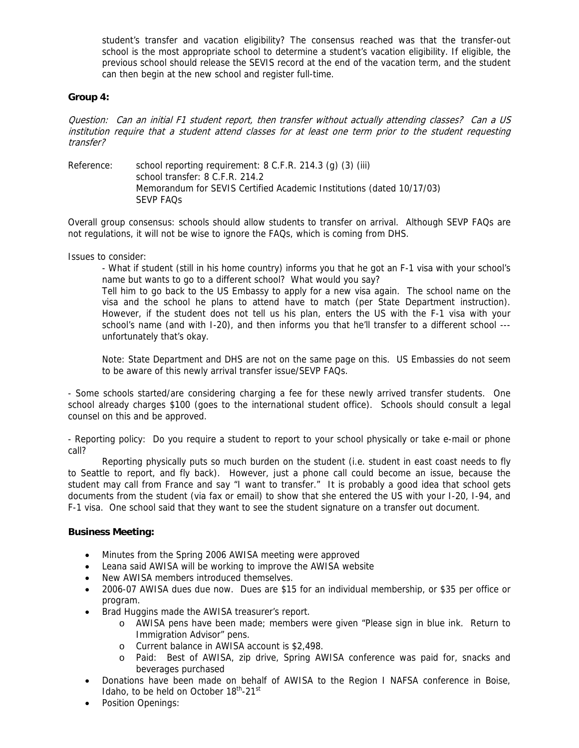student's transfer and vacation eligibility? The consensus reached was that the transfer-out school is the most appropriate school to determine a student's vacation eligibility. If eligible, the previous school should release the SEVIS record at the end of the vacation term, and the student can then begin at the new school and register full-time.

## **Group 4:**

Question: Can an initial F1 student report, then transfer without actually attending classes? Can a US institution require that a student attend classes for at least one term prior to the student requesting transfer?

Reference: school reporting requirement: 8 C.F.R. 214.3 (g) (3) (iii) school transfer: 8 C.F.R. 214.2 Memorandum for SEVIS Certified Academic Institutions (dated 10/17/03) SEVP FAQs

Overall group consensus: schools should allow students to transfer on arrival. Although SEVP FAQs are not regulations, it will not be wise to ignore the FAQs, which is coming from DHS.

Issues to consider:

- What if student (still in his home country) informs you that he got an F-1 visa with your school's name but wants to go to a different school? What would you say?

Tell him to go back to the US Embassy to apply for a new visa again. The school name on the visa and the school he plans to attend have to match (per State Department instruction). However, if the student does not tell us his plan, enters the US with the F-1 visa with your school's name (and with I-20), and then informs you that he'll transfer to a different school -- unfortunately that's okay.

Note: State Department and DHS are not on the same page on this. US Embassies do not seem to be aware of this newly arrival transfer issue/SEVP FAQs.

- Some schools started/are considering charging a fee for these newly arrived transfer students. One school already charges \$100 (goes to the international student office). Schools should consult a legal counsel on this and be approved.

- Reporting policy: Do you require a student to report to your school physically or take e-mail or phone call?

 Reporting physically puts so much burden on the student (i.e. student in east coast needs to fly to Seattle to report, and fly back). However, just a phone call could become an issue, because the student may call from France and say "I want to transfer." It is probably a good idea that school gets documents from the student (via fax or email) to show that she entered the US with your I-20, I-94, and F-1 visa. One school said that they want to see the student signature on a transfer out document.

### **Business Meeting:**

- Minutes from the Spring 2006 AWISA meeting were approved
- Leana said AWISA will be working to improve the AWISA website
- New AWISA members introduced themselves.
- 2006-07 AWISA dues due now. Dues are \$15 for an individual membership, or \$35 per office or program.
- Brad Huggins made the AWISA treasurer's report.
	- o AWISA pens have been made; members were given "Please sign in blue ink. Return to Immigration Advisor" pens.
	- o Current balance in AWISA account is \$2,498.
	- o Paid: Best of AWISA, zip drive, Spring AWISA conference was paid for, snacks and beverages purchased
- Donations have been made on behalf of AWISA to the Region I NAFSA conference in Boise, Idaho, to be held on October  $18^{th}$ -21st
- Position Openings: